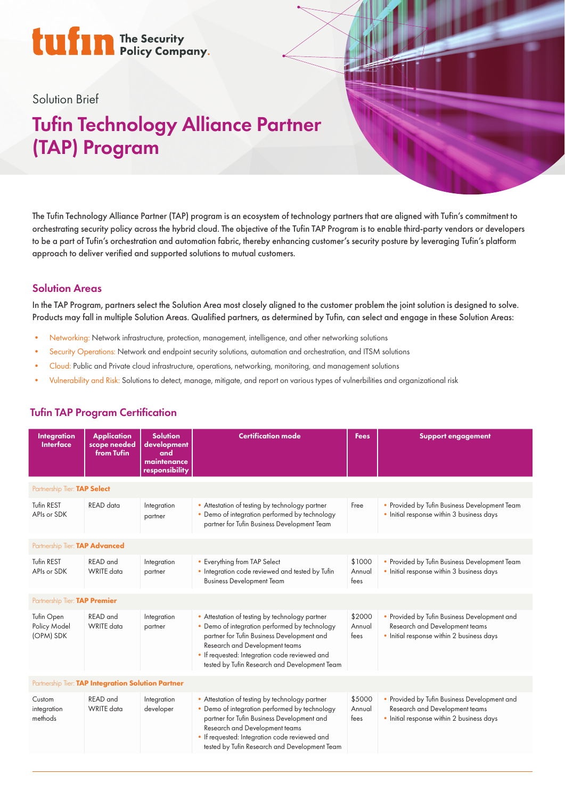# tufin The Security

### Solution Brief

## Tufin Technology Alliance Partner (TAP) Program

The Tufin Technology Alliance Partner (TAP) program is an ecosystem of technology partners that are aligned with Tufin's commitment to orchestrating security policy across the hybrid cloud. The objective of the Tufin TAP Program is to enable third-party vendors or developers to be a part of Tufin's orchestration and automation fabric, thereby enhancing customer's security posture by leveraging Tufin's platform approach to deliver verified and supported solutions to mutual customers.

### Solution Areas

In the TAP Program, partners select the Solution Area most closely aligned to the customer problem the joint solution is designed to solve. Products may fall in multiple Solution Areas. Qualified partners, as determined by Tufin, can select and engage in these Solution Areas:

- Networking: Network infrastructure, protection, management, intelligence, and other networking solutions
- Security Operations: Network and endpoint security solutions, automation and orchestration, and ITSM solutions
- Cloud: Public and Private cloud infrastructure, operations, networking, monitoring, and management solutions
- Vulnerability and Risk: Solutions to detect, manage, mitigate, and report on various types of vulnerbilities and organizational risk

### Tufin TAP Program Certification

| <b>Integration</b><br><b>Interface</b>             | <b>Application</b><br>scope needed<br>from Tufin | <b>Solution</b><br>development<br>and<br>maintenance<br>responsibility | <b>Certification mode</b>                                                                                                                                                                                                                                                         | <b>Fees</b>              | <b>Support engagement</b>                                                                                                   |
|----------------------------------------------------|--------------------------------------------------|------------------------------------------------------------------------|-----------------------------------------------------------------------------------------------------------------------------------------------------------------------------------------------------------------------------------------------------------------------------------|--------------------------|-----------------------------------------------------------------------------------------------------------------------------|
| Partnership Tier: TAP Select                       |                                                  |                                                                        |                                                                                                                                                                                                                                                                                   |                          |                                                                                                                             |
| Tufin REST<br>APIs or SDK                          | READ data                                        | Integration<br>partner                                                 | • Attestation of testing by technology partner<br>• Demo of integration performed by technology<br>partner for Tufin Business Development Team                                                                                                                                    | Free                     | • Provided by Tufin Business Development Team<br>• Initial response within 3 business days                                  |
| Partnership Tier: TAP Advanced                     |                                                  |                                                                        |                                                                                                                                                                                                                                                                                   |                          |                                                                                                                             |
| <b>Tufin REST</b><br>APIs or SDK                   | <b>READ</b> and<br><b>WRITE</b> data             | Integration<br>partner                                                 | • Everything from TAP Select<br>• Integration code reviewed and tested by Tufin<br><b>Business Development Team</b>                                                                                                                                                               | \$1000<br>Annual<br>tees | • Provided by Tufin Business Development Team<br>• Initial response within 3 business days                                  |
| Partnership Tier: TAP Premier                      |                                                  |                                                                        |                                                                                                                                                                                                                                                                                   |                          |                                                                                                                             |
| Tufin Open<br>Policy Model<br>(OPM) SDK            | <b>READ</b> and<br><b>WRITE</b> data             | Integration<br>partner                                                 | • Attestation of testing by technology partner<br>• Demo of integration performed by technology<br>partner for Tufin Business Development and<br>Research and Development teams<br>• If requested: Integration code reviewed and<br>tested by Tufin Research and Development Team | \$2000<br>Annual<br>tees | • Provided by Tufin Business Development and<br>Research and Development teams<br>• Initial response within 2 business days |
| Partnership Tier: TAP Integration Solution Partner |                                                  |                                                                        |                                                                                                                                                                                                                                                                                   |                          |                                                                                                                             |
| Custom<br>integration<br>methods                   | <b>READ</b> and<br><b>WRITE</b> data             | Integration<br>developer                                               | • Attestation of testing by technology partner<br>• Demo of integration performed by technology<br>partner for Tufin Business Development and<br>Research and Development teams<br>• If requested: Integration code reviewed and<br>tested by Tufin Research and Development Team | \$5000<br>Annual<br>tees | • Provided by Tufin Business Development and<br>Research and Development teams<br>• Initial response within 2 business days |